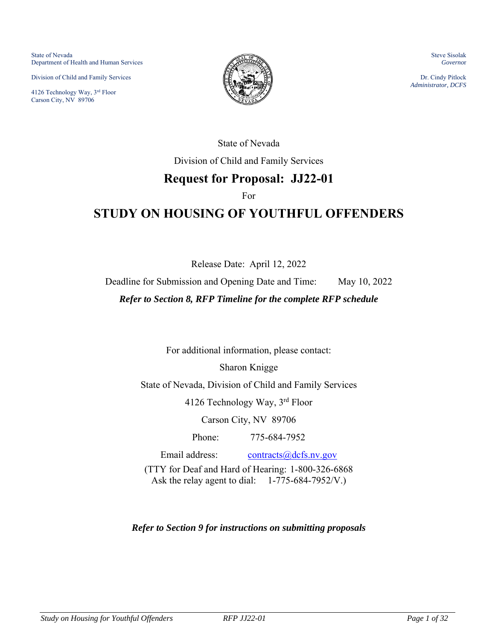State of Nevada Department of Health and Human Services

Division of Child and Family Services

4126 Technology Way, 3rd Floor Carson City, NV 89706



Steve Sisolak *Governo*r

Dr. Cindy Pitlock *Administrator, DCFS* 

State of Nevada

Division of Child and Family Services

# **Request for Proposal: JJ22-01**

For

# **STUDY ON HOUSING OF YOUTHFUL OFFENDERS**

Release Date: April 12, 2022

Deadline for Submission and Opening Date and Time: May 10, 2022

*Refer to Section 8, RFP Timeline for the complete RFP schedule* 

For additional information, please contact:

Sharon Knigge

State of Nevada, Division of Child and Family Services

4126 Technology Way, 3rd Floor

Carson City, NV 89706

Phone: 775-684-7952

Email address: [contracts@dcfs.nv.gov](mailto:contracts@dcfs.nv.gov) (TTY for Deaf and Hard of Hearing: 1-800-326-6868 Ask the relay agent to dial: 1-775-684-7952/V.)

*Refer to Section 9 for instructions on submitting proposals*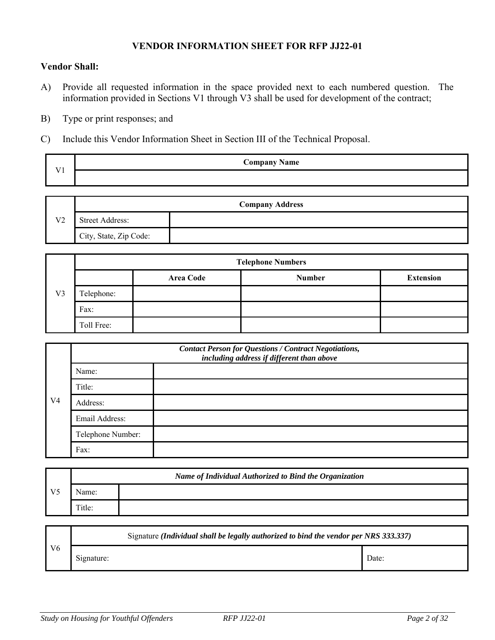#### **VENDOR INFORMATION SHEET FOR RFP JJ22-01**

#### **Vendor Shall:**

- A) Provide all requested information in the space provided next to each numbered question. The information provided in Sections V1 through V3 shall be used for development of the contract;
- B) Type or print responses; and
- C) Include this Vendor Information Sheet in Section III of the Technical Proposal.

| $x + 4$ | <b>Company Name</b> |
|---------|---------------------|
|         |                     |

| <b>Company Address</b> |                        |  |
|------------------------|------------------------|--|
| V <sub>2</sub>         | <b>Street Address:</b> |  |
|                        | City, State, Zip Code: |  |

| V <sub>3</sub> | <b>Telephone Numbers</b> |                  |               |                  |
|----------------|--------------------------|------------------|---------------|------------------|
|                |                          | <b>Area Code</b> | <b>Number</b> | <b>Extension</b> |
|                | Telephone:               |                  |               |                  |
|                | Fax:                     |                  |               |                  |
|                | Toll Free:               |                  |               |                  |

| V <sub>4</sub> | <b>Contact Person for Questions / Contract Negotiations,</b><br>including address if different than above |  |  |
|----------------|-----------------------------------------------------------------------------------------------------------|--|--|
|                | Name:                                                                                                     |  |  |
|                | Title:                                                                                                    |  |  |
|                | Address:                                                                                                  |  |  |
|                | Email Address:                                                                                            |  |  |
|                | Telephone Number:                                                                                         |  |  |
|                | Fax:                                                                                                      |  |  |

|                | Name of Individual Authorized to Bind the Organization |  |  |
|----------------|--------------------------------------------------------|--|--|
| V <sub>5</sub> | \ame:                                                  |  |  |
|                | Title:                                                 |  |  |

|                | Signature (Individual shall be legally authorized to bind the vendor per NRS 333.337) |       |  |  |
|----------------|---------------------------------------------------------------------------------------|-------|--|--|
| V <sub>6</sub> | Signature:                                                                            | Date: |  |  |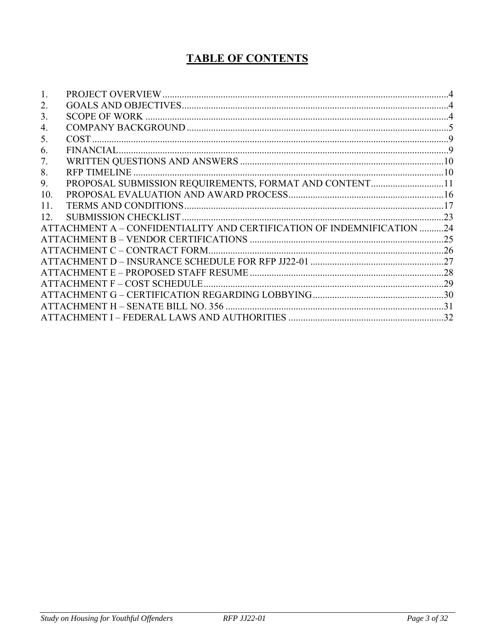# **TABLE OF CONTENTS**

| 2.              |                                                                        |  |
|-----------------|------------------------------------------------------------------------|--|
| 3.              |                                                                        |  |
| 4.              |                                                                        |  |
| 5.              |                                                                        |  |
| 6.              |                                                                        |  |
| 7.              |                                                                        |  |
| 8.              |                                                                        |  |
| 9.              | PROPOSAL SUBMISSION REQUIREMENTS, FORMAT AND CONTENT11                 |  |
| 10.             |                                                                        |  |
| 11.             |                                                                        |  |
| 12 <sub>1</sub> |                                                                        |  |
|                 | ATTACHMENT A – CONFIDENTIALITY AND CERTIFICATION OF INDEMNIFICATION 24 |  |
|                 |                                                                        |  |
|                 |                                                                        |  |
|                 |                                                                        |  |
|                 |                                                                        |  |
|                 |                                                                        |  |
|                 |                                                                        |  |
|                 |                                                                        |  |
|                 |                                                                        |  |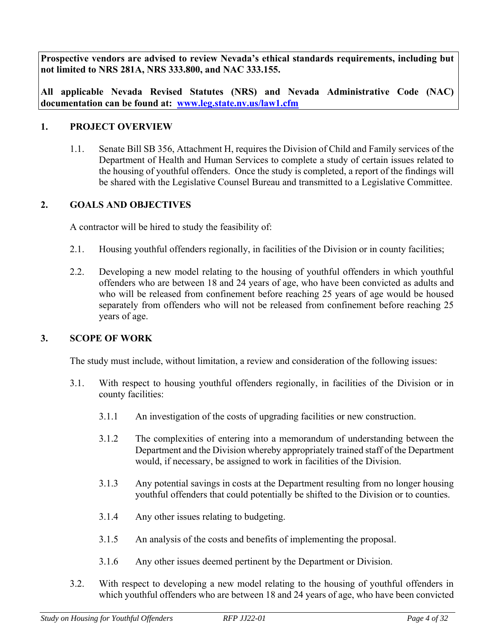**Prospective vendors are advised to review Nevada's ethical standards requirements, including but not limited to NRS 281A, NRS 333.800, and NAC 333.155.** 

**All applicable Nevada Revised Statutes (NRS) and Nevada Administrative Code (NAC) documentation can be found at: [www.leg.state.nv.us/law1.cfm](http://www.leg.state.nv.us/law1.cfm)** 

#### <span id="page-3-0"></span>**1. PROJECT OVERVIEW**

1.1. Senate Bill SB 356, Attachment H, requires the Division of Child and Family services of the Department of Health and Human Services to complete a study of certain issues related to the housing of youthful offenders. Once the study is completed, a report of the findings will be shared with the Legislative Counsel Bureau and transmitted to a Legislative Committee.

#### <span id="page-3-1"></span>**2. GOALS AND OBJECTIVES**

A contractor will be hired to study the feasibility of:

- 2.1. Housing youthful offenders regionally, in facilities of the Division or in county facilities;
- 2.2. Developing a new model relating to the housing of youthful offenders in which youthful offenders who are between 18 and 24 years of age, who have been convicted as adults and who will be released from confinement before reaching 25 years of age would be housed separately from offenders who will not be released from confinement before reaching 25 years of age.

#### <span id="page-3-2"></span>**3. SCOPE OF WORK**

The study must include, without limitation, a review and consideration of the following issues:

- 3.1. With respect to housing youthful offenders regionally, in facilities of the Division or in county facilities:
	- 3.1.1 An investigation of the costs of upgrading facilities or new construction.
	- 3.1.2 The complexities of entering into a memorandum of understanding between the Department and the Division whereby appropriately trained staff of the Department would, if necessary, be assigned to work in facilities of the Division.
	- 3.1.3 Any potential savings in costs at the Department resulting from no longer housing youthful offenders that could potentially be shifted to the Division or to counties.
	- 3.1.4 Any other issues relating to budgeting.
	- 3.1.5 An analysis of the costs and benefits of implementing the proposal.
	- 3.1.6 Any other issues deemed pertinent by the Department or Division.
- 3.2. With respect to developing a new model relating to the housing of youthful offenders in which youthful offenders who are between 18 and 24 years of age, who have been convicted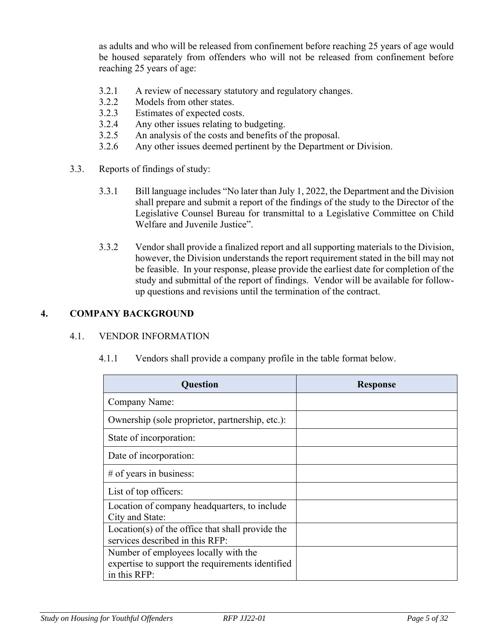as adults and who will be released from confinement before reaching 25 years of age would be housed separately from offenders who will not be released from confinement before reaching 25 years of age:

- 3.2.1 A review of necessary statutory and regulatory changes.
- 3.2.2 Models from other states.
- 3.2.3 Estimates of expected costs.
- 3.2.4 Any other issues relating to budgeting.
- 3.2.5 An analysis of the costs and benefits of the proposal.
- 3.2.6 Any other issues deemed pertinent by the Department or Division.
- 3.3. Reports of findings of study:
	- 3.3.1 Bill language includes "No later than July 1, 2022, the Department and the Division shall prepare and submit a report of the findings of the study to the Director of the Legislative Counsel Bureau for transmittal to a Legislative Committee on Child Welfare and Juvenile Justice".
	- 3.3.2 Vendor shall provide a finalized report and all supporting materials to the Division, however, the Division understands the report requirement stated in the bill may not be feasible. In your response, please provide the earliest date for completion of the study and submittal of the report of findings. Vendor will be available for followup questions and revisions until the termination of the contract.

#### <span id="page-4-0"></span>**4. COMPANY BACKGROUND**

#### 4.1. VENDOR INFORMATION

| Ouestion                                                                                                 | <b>Response</b> |
|----------------------------------------------------------------------------------------------------------|-----------------|
| Company Name:                                                                                            |                 |
| Ownership (sole proprietor, partnership, etc.):                                                          |                 |
| State of incorporation:                                                                                  |                 |
| Date of incorporation:                                                                                   |                 |
| $#$ of years in business:                                                                                |                 |
| List of top officers:                                                                                    |                 |
| Location of company headquarters, to include<br>City and State:                                          |                 |
| Location(s) of the office that shall provide the<br>services described in this RFP:                      |                 |
| Number of employees locally with the<br>expertise to support the requirements identified<br>in this RFP: |                 |

4.1.1 Vendors shall provide a company profile in the table format below.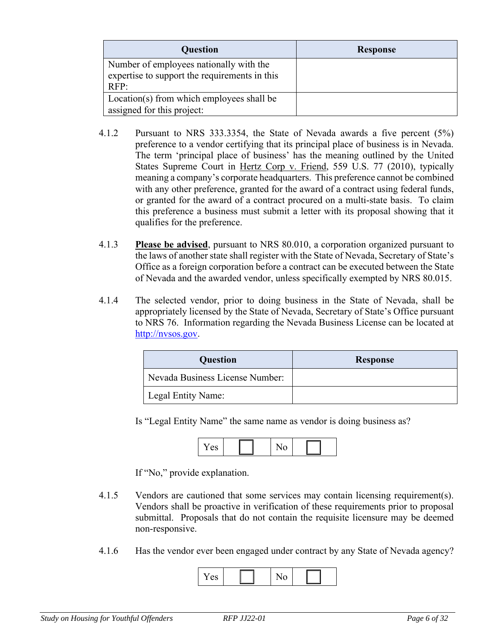| Question                                                                                 | <b>Response</b> |
|------------------------------------------------------------------------------------------|-----------------|
| Number of employees nationally with the<br>expertise to support the requirements in this |                 |
| RFP:                                                                                     |                 |
| Location(s) from which employees shall be                                                |                 |
| assigned for this project:                                                               |                 |

- 4.1.2 Pursuant to NRS 333.3354, the State of Nevada awards a five percent (5%) preference to a vendor certifying that its principal place of business is in Nevada. The term 'principal place of business' has the meaning outlined by the United States Supreme Court in Hertz Corp v. Friend, 559 U.S. 77 (2010), typically meaning a company's corporate headquarters. This preference cannot be combined with any other preference, granted for the award of a contract using federal funds, or granted for the award of a contract procured on a multi-state basis. To claim this preference a business must submit a letter with its proposal showing that it qualifies for the preference.
- 4.1.3 **Please be advised**, pursuant to NRS 80.010, a corporation organized pursuant to the laws of another state shall register with the State of Nevada, Secretary of State's Office as a foreign corporation before a contract can be executed between the State of Nevada and the awarded vendor, unless specifically exempted by NRS 80.015.
- 4.1.4 The selected vendor, prior to doing business in the State of Nevada, shall be appropriately licensed by the State of Nevada, Secretary of State's Office pursuant to NRS 76. Information regarding the Nevada Business License can be located at [http://nvsos.gov.](http://nvsos.gov/)

| <b>Question</b>                 | <b>Response</b> |
|---------------------------------|-----------------|
| Nevada Business License Number: |                 |
| Legal Entity Name:              |                 |

Is "Legal Entity Name" the same name as vendor is doing business as?

| - - |  | - |  |
|-----|--|---|--|
|-----|--|---|--|

If "No," provide explanation.

- 4.1.5 Vendors are cautioned that some services may contain licensing requirement(s). Vendors shall be proactive in verification of these requirements prior to proposal submittal. Proposals that do not contain the requisite licensure may be deemed non-responsive.
- 4.1.6 Has the vendor ever been engaged under contract by any State of Nevada agency?

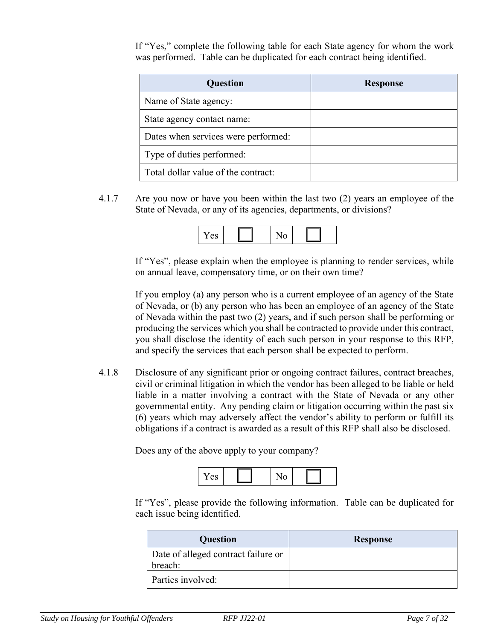If "Yes," complete the following table for each State agency for whom the work was performed. Table can be duplicated for each contract being identified.

| <b>Question</b>                     | <b>Response</b> |
|-------------------------------------|-----------------|
| Name of State agency:               |                 |
| State agency contact name:          |                 |
| Dates when services were performed: |                 |
| Type of duties performed:           |                 |
| Total dollar value of the contract: |                 |

4.1.7 Are you now or have you been within the last two (2) years an employee of the State of Nevada, or any of its agencies, departments, or divisions?



If "Yes", please explain when the employee is planning to render services, while on annual leave, compensatory time, or on their own time?

If you employ (a) any person who is a current employee of an agency of the State of Nevada, or (b) any person who has been an employee of an agency of the State of Nevada within the past two (2) years, and if such person shall be performing or producing the services which you shall be contracted to provide under this contract, you shall disclose the identity of each such person in your response to this RFP, and specify the services that each person shall be expected to perform.

4.1.8 Disclosure of any significant prior or ongoing contract failures, contract breaches, civil or criminal litigation in which the vendor has been alleged to be liable or held liable in a matter involving a contract with the State of Nevada or any other governmental entity. Any pending claim or litigation occurring within the past six (6) years which may adversely affect the vendor's ability to perform or fulfill its obligations if a contract is awarded as a result of this RFP shall also be disclosed.

Does any of the above apply to your company?



If "Yes", please provide the following information. Table can be duplicated for each issue being identified.

| Question                                       | <b>Response</b> |
|------------------------------------------------|-----------------|
| Date of alleged contract failure or<br>breach: |                 |
| Parties involved:                              |                 |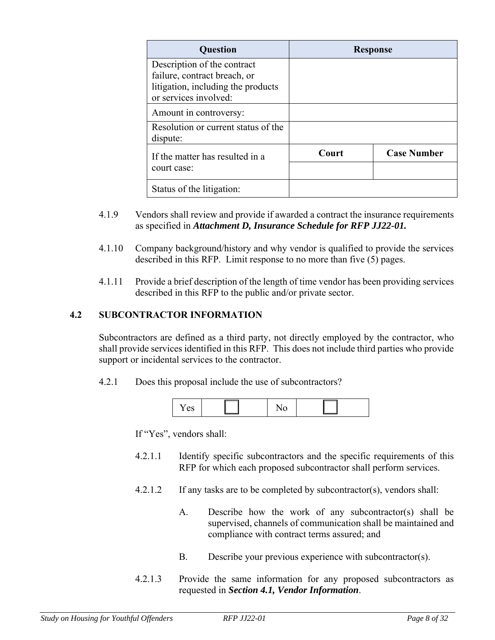| <b>Question</b>                                                                                                            | <b>Response</b> |                    |
|----------------------------------------------------------------------------------------------------------------------------|-----------------|--------------------|
| Description of the contract<br>failure, contract breach, or<br>litigation, including the products<br>or services involved: |                 |                    |
| Amount in controversy:                                                                                                     |                 |                    |
| Resolution or current status of the<br>dispute:                                                                            |                 |                    |
| If the matter has resulted in a<br>court case:                                                                             | Court           | <b>Case Number</b> |
| Status of the litigation:                                                                                                  |                 |                    |

- 4.1.9 Vendors shall review and provide if awarded a contract the insurance requirements as specified in *Attachment D, Insurance Schedule for RFP JJ22-01.*
- 4.1.10 Company background/history and why vendor is qualified to provide the services described in this RFP. Limit response to no more than five (5) pages.
- 4.1.11 Provide a brief description of the length of time vendor has been providing services described in this RFP to the public and/or private sector.

#### **4.2 SUBCONTRACTOR INFORMATION**

Subcontractors are defined as a third party, not directly employed by the contractor, who shall provide services identified in this RFP. This does not include third parties who provide support or incidental services to the contractor.

4.2.1 Does this proposal include the use of subcontractors?



If "Yes", vendors shall:

- 4.2.1.1 Identify specific subcontractors and the specific requirements of this RFP for which each proposed subcontractor shall perform services.
- 4.2.1.2 If any tasks are to be completed by subcontractor(s), vendors shall:
	- A. Describe how the work of any subcontractor(s) shall be supervised, channels of communication shall be maintained and compliance with contract terms assured; and
	- B. Describe your previous experience with subcontractor(s).
- 4.2.1.3 Provide the same information for any proposed subcontractors as requested in *Section 4.1, Vendor Information*.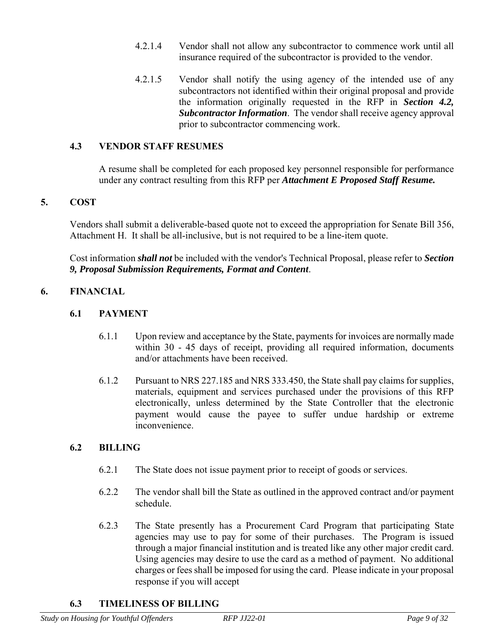- 4.2.1.4 Vendor shall not allow any subcontractor to commence work until all insurance required of the subcontractor is provided to the vendor.
- 4.2.1.5 Vendor shall notify the using agency of the intended use of any subcontractors not identified within their original proposal and provide the information originally requested in the RFP in *Section 4.2, Subcontractor Information*. The vendor shall receive agency approval prior to subcontractor commencing work.

#### **4.3 VENDOR STAFF RESUMES**

A resume shall be completed for each proposed key personnel responsible for performance under any contract resulting from this RFP per *Attachment E Proposed Staff Resume.*

#### <span id="page-8-0"></span>**5. COST**

Vendors shall submit a deliverable-based quote not to exceed the appropriation for Senate Bill 356, Attachment H. It shall be all-inclusive, but is not required to be a line-item quote.

Cost information *shall not* be included with the vendor's Technical Proposal, please refer to *Section 9, Proposal Submission Requirements, Format and Content*.

#### <span id="page-8-1"></span>**6. FINANCIAL**

#### **6.1 PAYMENT**

- 6.1.1 Upon review and acceptance by the State, payments for invoices are normally made within 30 - 45 days of receipt, providing all required information, documents and/or attachments have been received.
- 6.1.2 Pursuant to NRS 227.185 and NRS 333.450, the State shall pay claims for supplies, materials, equipment and services purchased under the provisions of this RFP electronically, unless determined by the State Controller that the electronic payment would cause the payee to suffer undue hardship or extreme inconvenience.

#### **6.2 BILLING**

- 6.2.1 The State does not issue payment prior to receipt of goods or services.
- 6.2.2 The vendor shall bill the State as outlined in the approved contract and/or payment schedule.
- 6.2.3 The State presently has a Procurement Card Program that participating State agencies may use to pay for some of their purchases. The Program is issued through a major financial institution and is treated like any other major credit card. Using agencies may desire to use the card as a method of payment. No additional charges or fees shall be imposed for using the card. Please indicate in your proposal response if you will accept

#### **6.3 TIMELINESS OF BILLING**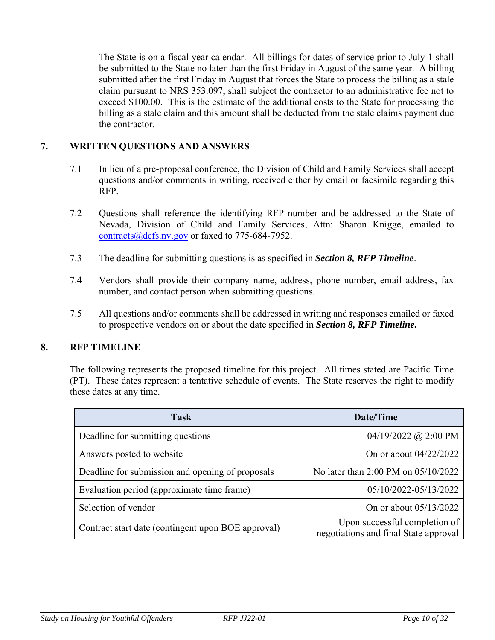The State is on a fiscal year calendar. All billings for dates of service prior to July 1 shall be submitted to the State no later than the first Friday in August of the same year. A billing submitted after the first Friday in August that forces the State to process the billing as a stale claim pursuant to NRS 353.097, shall subject the contractor to an administrative fee not to exceed \$100.00. This is the estimate of the additional costs to the State for processing the billing as a stale claim and this amount shall be deducted from the stale claims payment due the contractor.

#### <span id="page-9-0"></span>**7. WRITTEN QUESTIONS AND ANSWERS**

- 7.1 In lieu of a pre-proposal conference, the Division of Child and Family Services shall accept questions and/or comments in writing, received either by email or facsimile regarding this RFP.
- 7.2 Questions shall reference the identifying RFP number and be addressed to the State of Nevada, Division of Child and Family Services, Attn: Sharon Knigge, emailed to [contracts@dcfs.nv.gov](mailto:contracts@dcfs.nv.gov) or faxed to 775-684-7952.
- 7.3 The deadline for submitting questions is as specified in *Section 8, RFP Timeline*.
- 7.4 Vendors shall provide their company name, address, phone number, email address, fax number, and contact person when submitting questions.
- 7.5 All questions and/or comments shall be addressed in writing and responses emailed or faxed to prospective vendors on or about the date specified in *Section 8, RFP Timeline.*

#### <span id="page-9-1"></span>**8. RFP TIMELINE**

The following represents the proposed timeline for this project. All times stated are Pacific Time (PT). These dates represent a tentative schedule of events. The State reserves the right to modify these dates at any time.

| <b>Task</b>                                        | Date/Time                                                              |
|----------------------------------------------------|------------------------------------------------------------------------|
| Deadline for submitting questions                  | 04/19/2022 @ 2:00 PM                                                   |
| Answers posted to website                          | On or about $04/22/2022$                                               |
| Deadline for submission and opening of proposals   | No later than 2:00 PM on 05/10/2022                                    |
| Evaluation period (approximate time frame)         | 05/10/2022-05/13/2022                                                  |
| Selection of vendor                                | On or about 05/13/2022                                                 |
| Contract start date (contingent upon BOE approval) | Upon successful completion of<br>negotiations and final State approval |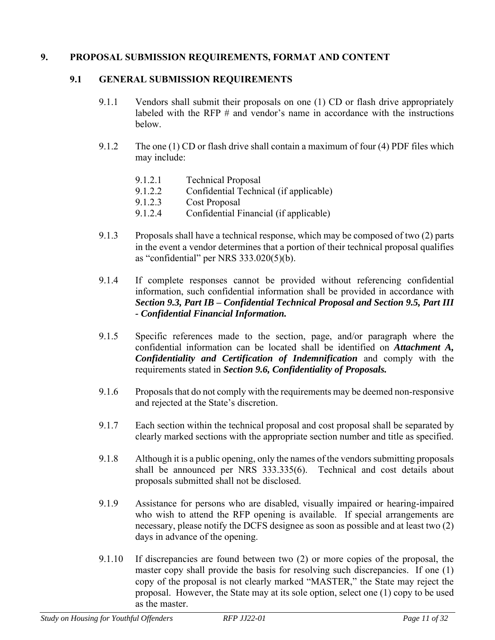#### <span id="page-10-0"></span>**9. PROPOSAL SUBMISSION REQUIREMENTS, FORMAT AND CONTENT**

#### **9.1 GENERAL SUBMISSION REQUIREMENTS**

- 9.1.1 Vendors shall submit their proposals on one (1) CD or flash drive appropriately labeled with the RFP  $\#$  and vendor's name in accordance with the instructions below.
- 9.1.2 The one (1) CD or flash drive shall contain a maximum of four (4) PDF files which may include:
	- 9.1.2.1 Technical Proposal
	- 9.1.2.2 Confidential Technical (if applicable)
	- 9.1.2.3 Cost Proposal
	- 9.1.2.4 Confidential Financial (if applicable)
- 9.1.3 Proposals shall have a technical response, which may be composed of two (2) parts in the event a vendor determines that a portion of their technical proposal qualifies as "confidential" per NRS 333.020(5)(b).
- 9.1.4 If complete responses cannot be provided without referencing confidential information, such confidential information shall be provided in accordance with *Section 9.3, Part IB – Confidential Technical Proposal and Section 9.5, Part III - Confidential Financial Information.*
- 9.1.5 Specific references made to the section, page, and/or paragraph where the confidential information can be located shall be identified on *Attachment A, Confidentiality and Certification of Indemnification* and comply with the requirements stated in *Section 9.6, Confidentiality of Proposals.*
- 9.1.6 Proposals that do not comply with the requirements may be deemed non-responsive and rejected at the State's discretion.
- 9.1.7 Each section within the technical proposal and cost proposal shall be separated by clearly marked sections with the appropriate section number and title as specified.
- 9.1.8 Although it is a public opening, only the names of the vendors submitting proposals shall be announced per NRS 333.335(6). Technical and cost details about proposals submitted shall not be disclosed.
- 9.1.9 Assistance for persons who are disabled, visually impaired or hearing-impaired who wish to attend the RFP opening is available. If special arrangements are necessary, please notify the DCFS designee as soon as possible and at least two (2) days in advance of the opening.
- 9.1.10 If discrepancies are found between two (2) or more copies of the proposal, the master copy shall provide the basis for resolving such discrepancies. If one (1) copy of the proposal is not clearly marked "MASTER," the State may reject the proposal. However, the State may at its sole option, select one (1) copy to be used as the master.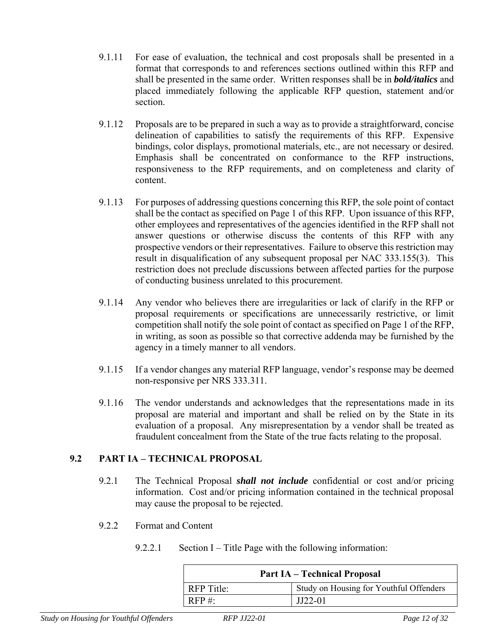- 9.1.11 For ease of evaluation, the technical and cost proposals shall be presented in a format that corresponds to and references sections outlined within this RFP and shall be presented in the same order. Written responses shall be in *bold/italics* and placed immediately following the applicable RFP question, statement and/or section.
- 9.1.12 Proposals are to be prepared in such a way as to provide a straightforward, concise delineation of capabilities to satisfy the requirements of this RFP. Expensive bindings, color displays, promotional materials, etc., are not necessary or desired. Emphasis shall be concentrated on conformance to the RFP instructions, responsiveness to the RFP requirements, and on completeness and clarity of content.
- 9.1.13 For purposes of addressing questions concerning this RFP, the sole point of contact shall be the contact as specified on Page 1 of this RFP. Upon issuance of this RFP, other employees and representatives of the agencies identified in the RFP shall not answer questions or otherwise discuss the contents of this RFP with any prospective vendors or their representatives. Failure to observe this restriction may result in disqualification of any subsequent proposal per NAC 333.155(3). This restriction does not preclude discussions between affected parties for the purpose of conducting business unrelated to this procurement.
- 9.1.14 Any vendor who believes there are irregularities or lack of clarify in the RFP or proposal requirements or specifications are unnecessarily restrictive, or limit competition shall notify the sole point of contact as specified on Page 1 of the RFP, in writing, as soon as possible so that corrective addenda may be furnished by the agency in a timely manner to all vendors.
- 9.1.15 If a vendor changes any material RFP language, vendor's response may be deemed non-responsive per NRS 333.311.
- 9.1.16 The vendor understands and acknowledges that the representations made in its proposal are material and important and shall be relied on by the State in its evaluation of a proposal. Any misrepresentation by a vendor shall be treated as fraudulent concealment from the State of the true facts relating to the proposal.

### **9.2 PART IA – TECHNICAL PROPOSAL**

- 9.2.1 The Technical Proposal *shall not include* confidential or cost and/or pricing information. Cost and/or pricing information contained in the technical proposal may cause the proposal to be rejected.
- 9.2.2 Format and Content
	- 9.2.2.1 Section I Title Page with the following information:

| <b>Part IA – Technical Proposal</b>                          |           |  |
|--------------------------------------------------------------|-----------|--|
| Study on Housing for Youthful Offenders<br><b>RFP</b> Title: |           |  |
| RFP #:                                                       | $JJ22-01$ |  |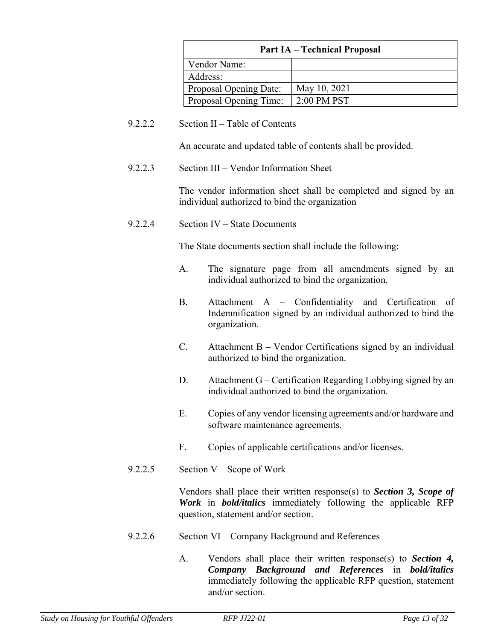| <b>Part IA – Technical Proposal</b> |               |  |
|-------------------------------------|---------------|--|
| Vendor Name:                        |               |  |
| Address:                            |               |  |
| Proposal Opening Date:              | May 10, 2021  |  |
| Proposal Opening Time:              | $2:00$ PM PST |  |

9.2.2.2 Section II – Table of Contents

An accurate and updated table of contents shall be provided.

9.2.2.3 Section III – Vendor Information Sheet

The vendor information sheet shall be completed and signed by an individual authorized to bind the organization

9.2.2.4 Section IV – State Documents

The State documents section shall include the following:

- A. The signature page from all amendments signed by an individual authorized to bind the organization.
- B. Attachment A Confidentiality and Certification of Indemnification signed by an individual authorized to bind the organization.
- C. Attachment B Vendor Certifications signed by an individual authorized to bind the organization.
- D. Attachment G Certification Regarding Lobbying signed by an individual authorized to bind the organization.
- E. Copies of any vendor licensing agreements and/or hardware and software maintenance agreements.
- F. Copies of applicable certifications and/or licenses.
- 9.2.2.5 Section V Scope of Work

Vendors shall place their written response(s) to *Section 3, Scope of Work* in *bold/italics* immediately following the applicable RFP question, statement and/or section.

- 9.2.2.6 Section VI Company Background and References
	- A. Vendors shall place their written response(s) to *Section 4, Company Background and References* in *bold/italics* immediately following the applicable RFP question, statement and/or section.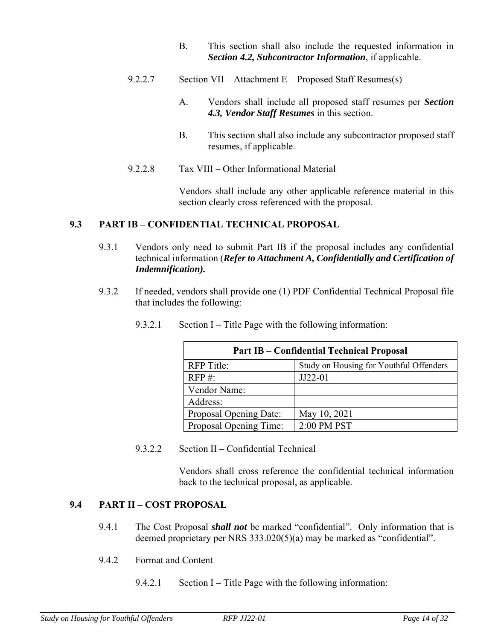- B. This section shall also include the requested information in *Section 4.2, Subcontractor Information*, if applicable.
- 9.2.2.7 Section VII Attachment E Proposed Staff Resumes(s)
	- A. Vendors shall include all proposed staff resumes per *Section 4.3, Vendor Staff Resumes* in this section.
	- B. This section shall also include any subcontractor proposed staff resumes, if applicable.
- 9.2.2.8 Tax VIII Other Informational Material

Vendors shall include any other applicable reference material in this section clearly cross referenced with the proposal.

### **9.3 PART IB – CONFIDENTIAL TECHNICAL PROPOSAL**

- 9.3.1 Vendors only need to submit Part IB if the proposal includes any confidential technical information (*Refer to Attachment A, Confidentially and Certification of Indemnification).*
- 9.3.2 If needed, vendors shall provide one (1) PDF Confidential Technical Proposal file that includes the following:

| <b>Part IB – Confidential Technical Proposal</b> |                                         |  |
|--------------------------------------------------|-----------------------------------------|--|
| <b>RFP</b> Title:                                | Study on Housing for Youthful Offenders |  |
| RFP #:<br>$JJ22-01$                              |                                         |  |
| Vendor Name:                                     |                                         |  |
| Address:                                         |                                         |  |
| Proposal Opening Date:                           | May 10, 2021                            |  |
| 2:00 PM PST<br>Proposal Opening Time:            |                                         |  |

9.3.2.1 Section I – Title Page with the following information:

9.3.2.2 Section II – Confidential Technical

Vendors shall cross reference the confidential technical information back to the technical proposal, as applicable.

## **9.4 PART II – COST PROPOSAL**

- 9.4.1 The Cost Proposal *shall not* be marked "confidential". Only information that is deemed proprietary per NRS 333.020(5)(a) may be marked as "confidential".
- 9.4.2 Format and Content
	- 9.4.2.1 Section I Title Page with the following information: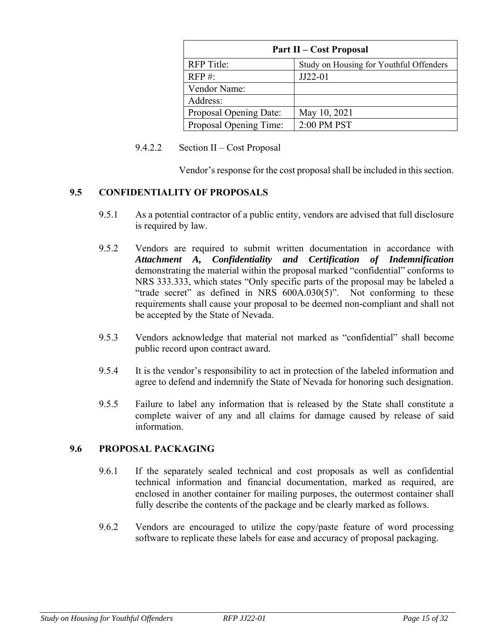| <b>Part II – Cost Proposal</b> |                                         |  |  |
|--------------------------------|-----------------------------------------|--|--|
| <b>RFP</b> Title:              | Study on Housing for Youthful Offenders |  |  |
| RFP #:                         | $JJ22-01$                               |  |  |
| Vendor Name:                   |                                         |  |  |
| Address:                       |                                         |  |  |
| Proposal Opening Date:         | May 10, 2021                            |  |  |
| Proposal Opening Time:         | 2:00 PM PST                             |  |  |

#### 9.4.2.2 Section II – Cost Proposal

Vendor's response for the cost proposal shall be included in this section.

#### **9.5 CONFIDENTIALITY OF PROPOSALS**

- 9.5.1 As a potential contractor of a public entity, vendors are advised that full disclosure is required by law.
- 9.5.2 Vendors are required to submit written documentation in accordance with *Attachment A, Confidentiality and Certification of Indemnification* demonstrating the material within the proposal marked "confidential" conforms to NRS 333.333, which states "Only specific parts of the proposal may be labeled a "trade secret" as defined in NRS 600A.030(5)". Not conforming to these requirements shall cause your proposal to be deemed non-compliant and shall not be accepted by the State of Nevada.
- 9.5.3 Vendors acknowledge that material not marked as "confidential" shall become public record upon contract award.
- 9.5.4 It is the vendor's responsibility to act in protection of the labeled information and agree to defend and indemnify the State of Nevada for honoring such designation.
- 9.5.5 Failure to label any information that is released by the State shall constitute a complete waiver of any and all claims for damage caused by release of said information.

#### **9.6 PROPOSAL PACKAGING**

- 9.6.1 If the separately sealed technical and cost proposals as well as confidential technical information and financial documentation, marked as required, are enclosed in another container for mailing purposes, the outermost container shall fully describe the contents of the package and be clearly marked as follows.
- 9.6.2 Vendors are encouraged to utilize the copy/paste feature of word processing software to replicate these labels for ease and accuracy of proposal packaging.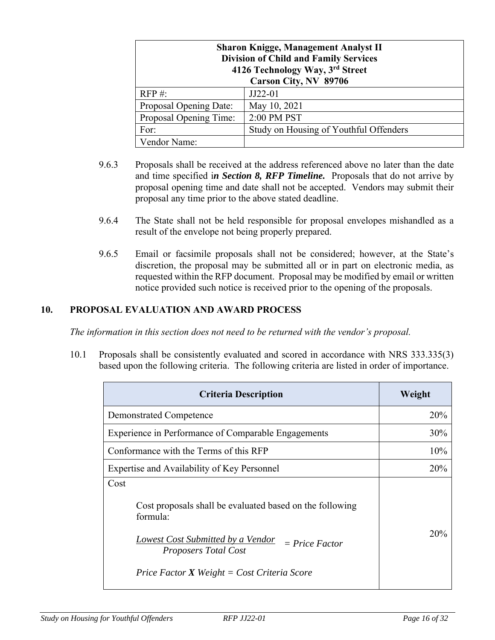| <b>Sharon Knigge, Management Analyst II</b><br><b>Division of Child and Family Services</b><br>4126 Technology Way, 3rd Street<br>Carson City, NV 89706 |                                        |  |  |
|---------------------------------------------------------------------------------------------------------------------------------------------------------|----------------------------------------|--|--|
| RFP #:                                                                                                                                                  | $JJ22-01$                              |  |  |
| Proposal Opening Date:                                                                                                                                  | May 10, 2021                           |  |  |
| 2:00 PM PST<br>Proposal Opening Time:                                                                                                                   |                                        |  |  |
| For:                                                                                                                                                    | Study on Housing of Youthful Offenders |  |  |
| Vendor Name:                                                                                                                                            |                                        |  |  |

- 9.6.3 Proposals shall be received at the address referenced above no later than the date and time specified i*n Section 8, RFP Timeline.* Proposals that do not arrive by proposal opening time and date shall not be accepted. Vendors may submit their proposal any time prior to the above stated deadline.
- 9.6.4 The State shall not be held responsible for proposal envelopes mishandled as a result of the envelope not being properly prepared.
- 9.6.5 Email or facsimile proposals shall not be considered; however, at the State's discretion, the proposal may be submitted all or in part on electronic media, as requested within the RFP document. Proposal may be modified by email or written notice provided such notice is received prior to the opening of the proposals.

#### <span id="page-15-0"></span>**10. PROPOSAL EVALUATION AND AWARD PROCESS**

*The information in this section does not need to be returned with the vendor's proposal.*

10.1 Proposals shall be consistently evaluated and scored in accordance with NRS 333.335(3) based upon the following criteria. The following criteria are listed in order of importance.

| <b>Criteria Description</b>                                                                                                                                                                                                       | Weight     |
|-----------------------------------------------------------------------------------------------------------------------------------------------------------------------------------------------------------------------------------|------------|
| <b>Demonstrated Competence</b>                                                                                                                                                                                                    | <b>20%</b> |
| Experience in Performance of Comparable Engagements                                                                                                                                                                               | 30%        |
| Conformance with the Terms of this RFP                                                                                                                                                                                            | 10%        |
| Expertise and Availability of Key Personnel                                                                                                                                                                                       | <b>20%</b> |
| Cost<br>Cost proposals shall be evaluated based on the following<br>formula:<br><b>Lowest Cost Submitted by a Vendor</b><br>$= Price Factor$<br><b>Proposers Total Cost</b><br><i>Price Factor X Weight = Cost Criteria Score</i> | 20%        |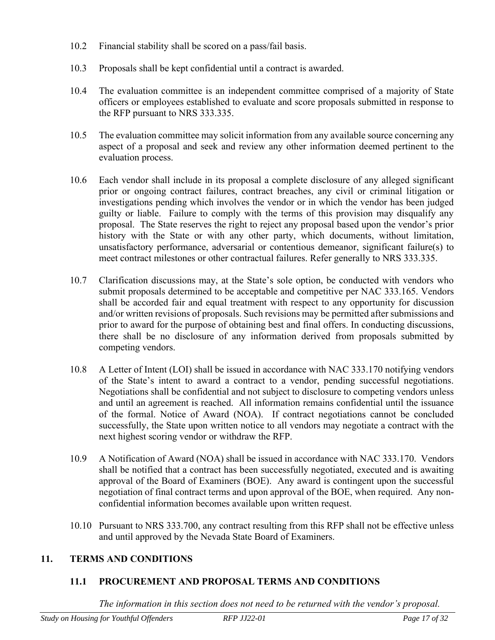- 10.2 Financial stability shall be scored on a pass/fail basis.
- 10.3 Proposals shall be kept confidential until a contract is awarded.
- 10.4 The evaluation committee is an independent committee comprised of a majority of State officers or employees established to evaluate and score proposals submitted in response to the RFP pursuant to NRS 333.335.
- 10.5 The evaluation committee may solicit information from any available source concerning any aspect of a proposal and seek and review any other information deemed pertinent to the evaluation process.
- 10.6 Each vendor shall include in its proposal a complete disclosure of any alleged significant prior or ongoing contract failures, contract breaches, any civil or criminal litigation or investigations pending which involves the vendor or in which the vendor has been judged guilty or liable. Failure to comply with the terms of this provision may disqualify any proposal. The State reserves the right to reject any proposal based upon the vendor's prior history with the State or with any other party, which documents, without limitation, unsatisfactory performance, adversarial or contentious demeanor, significant failure(s) to meet contract milestones or other contractual failures. Refer generally to NRS 333.335.
- 10.7 Clarification discussions may, at the State's sole option, be conducted with vendors who submit proposals determined to be acceptable and competitive per NAC 333.165. Vendors shall be accorded fair and equal treatment with respect to any opportunity for discussion and/or written revisions of proposals. Such revisions may be permitted after submissions and prior to award for the purpose of obtaining best and final offers. In conducting discussions, there shall be no disclosure of any information derived from proposals submitted by competing vendors.
- 10.8 A Letter of Intent (LOI) shall be issued in accordance with NAC 333.170 notifying vendors of the State's intent to award a contract to a vendor, pending successful negotiations. Negotiations shall be confidential and not subject to disclosure to competing vendors unless and until an agreement is reached. All information remains confidential until the issuance of the formal. Notice of Award (NOA). If contract negotiations cannot be concluded successfully, the State upon written notice to all vendors may negotiate a contract with the next highest scoring vendor or withdraw the RFP.
- 10.9 A Notification of Award (NOA) shall be issued in accordance with NAC 333.170. Vendors shall be notified that a contract has been successfully negotiated, executed and is awaiting approval of the Board of Examiners (BOE). Any award is contingent upon the successful negotiation of final contract terms and upon approval of the BOE, when required. Any nonconfidential information becomes available upon written request.
- 10.10 Pursuant to NRS 333.700, any contract resulting from this RFP shall not be effective unless and until approved by the Nevada State Board of Examiners.

### <span id="page-16-0"></span>**11. TERMS AND CONDITIONS**

### **11.1 PROCUREMENT AND PROPOSAL TERMS AND CONDITIONS**

*The information in this section does not need to be returned with the vendor's proposal.*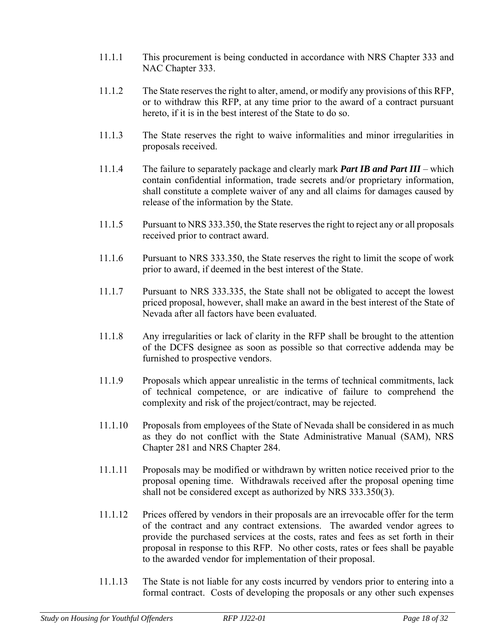- 11.1.1 This procurement is being conducted in accordance with NRS Chapter 333 and NAC Chapter 333.
- 11.1.2 The State reserves the right to alter, amend, or modify any provisions of this RFP, or to withdraw this RFP, at any time prior to the award of a contract pursuant hereto, if it is in the best interest of the State to do so.
- 11.1.3 The State reserves the right to waive informalities and minor irregularities in proposals received.
- 11.1.4 The failure to separately package and clearly mark *Part IB and Part III*  which contain confidential information, trade secrets and/or proprietary information, shall constitute a complete waiver of any and all claims for damages caused by release of the information by the State.
- 11.1.5 Pursuant to NRS 333.350, the State reserves the right to reject any or all proposals received prior to contract award.
- 11.1.6 Pursuant to NRS 333.350, the State reserves the right to limit the scope of work prior to award, if deemed in the best interest of the State.
- 11.1.7 Pursuant to NRS 333.335, the State shall not be obligated to accept the lowest priced proposal, however, shall make an award in the best interest of the State of Nevada after all factors have been evaluated.
- 11.1.8 Any irregularities or lack of clarity in the RFP shall be brought to the attention of the DCFS designee as soon as possible so that corrective addenda may be furnished to prospective vendors.
- 11.1.9 Proposals which appear unrealistic in the terms of technical commitments, lack of technical competence, or are indicative of failure to comprehend the complexity and risk of the project/contract, may be rejected.
- 11.1.10 Proposals from employees of the State of Nevada shall be considered in as much as they do not conflict with the State Administrative Manual (SAM), NRS Chapter 281 and NRS Chapter 284.
- 11.1.11 Proposals may be modified or withdrawn by written notice received prior to the proposal opening time. Withdrawals received after the proposal opening time shall not be considered except as authorized by NRS 333.350(3).
- 11.1.12 Prices offered by vendors in their proposals are an irrevocable offer for the term of the contract and any contract extensions. The awarded vendor agrees to provide the purchased services at the costs, rates and fees as set forth in their proposal in response to this RFP. No other costs, rates or fees shall be payable to the awarded vendor for implementation of their proposal.
- 11.1.13 The State is not liable for any costs incurred by vendors prior to entering into a formal contract. Costs of developing the proposals or any other such expenses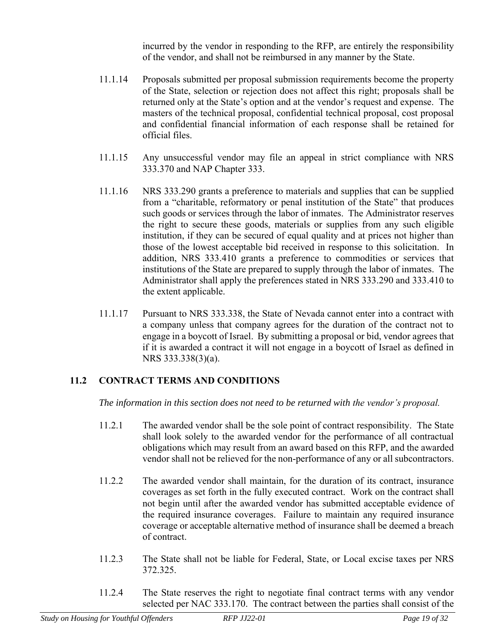incurred by the vendor in responding to the RFP, are entirely the responsibility of the vendor, and shall not be reimbursed in any manner by the State.

- 11.1.14 Proposals submitted per proposal submission requirements become the property of the State, selection or rejection does not affect this right; proposals shall be returned only at the State's option and at the vendor's request and expense. The masters of the technical proposal, confidential technical proposal, cost proposal and confidential financial information of each response shall be retained for official files.
- 11.1.15 Any unsuccessful vendor may file an appeal in strict compliance with NRS 333.370 and NAP Chapter 333.
- 11.1.16 NRS 333.290 grants a preference to materials and supplies that can be supplied from a "charitable, reformatory or penal institution of the State" that produces such goods or services through the labor of inmates. The Administrator reserves the right to secure these goods, materials or supplies from any such eligible institution, if they can be secured of equal quality and at prices not higher than those of the lowest acceptable bid received in response to this solicitation. In addition, NRS 333.410 grants a preference to commodities or services that institutions of the State are prepared to supply through the labor of inmates. The Administrator shall apply the preferences stated in NRS 333.290 and 333.410 to the extent applicable.
- 11.1.17 Pursuant to NRS 333.338, the State of Nevada cannot enter into a contract with a company unless that company agrees for the duration of the contract not to engage in a boycott of Israel. By submitting a proposal or bid, vendor agrees that if it is awarded a contract it will not engage in a boycott of Israel as defined in NRS 333.338(3)(a).

### **11.2 CONTRACT TERMS AND CONDITIONS**

*The information in this section does not need to be returned with the vendor's proposal.*

- 11.2.1 The awarded vendor shall be the sole point of contract responsibility. The State shall look solely to the awarded vendor for the performance of all contractual obligations which may result from an award based on this RFP, and the awarded vendor shall not be relieved for the non-performance of any or all subcontractors.
- 11.2.2 The awarded vendor shall maintain, for the duration of its contract, insurance coverages as set forth in the fully executed contract. Work on the contract shall not begin until after the awarded vendor has submitted acceptable evidence of the required insurance coverages. Failure to maintain any required insurance coverage or acceptable alternative method of insurance shall be deemed a breach of contract.
- 11.2.3 The State shall not be liable for Federal, State, or Local excise taxes per NRS 372.325.
- 11.2.4 The State reserves the right to negotiate final contract terms with any vendor selected per NAC 333.170. The contract between the parties shall consist of the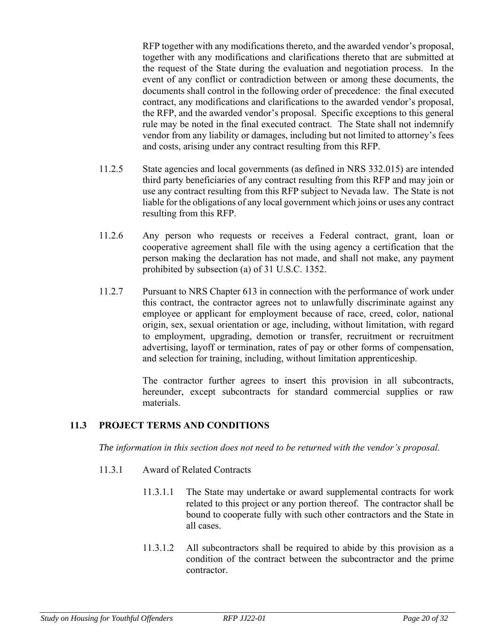RFP together with any modifications thereto, and the awarded vendor's proposal, together with any modifications and clarifications thereto that are submitted at the request of the State during the evaluation and negotiation process. In the event of any conflict or contradiction between or among these documents, the documents shall control in the following order of precedence: the final executed contract, any modifications and clarifications to the awarded vendor's proposal, the RFP, and the awarded vendor's proposal. Specific exceptions to this general rule may be noted in the final executed contract. The State shall not indemnify vendor from any liability or damages, including but not limited to attorney's fees and costs, arising under any contract resulting from this RFP.

- 11.2.5 State agencies and local governments (as defined in NRS 332.015) are intended third party beneficiaries of any contract resulting from this RFP and may join or use any contract resulting from this RFP subject to Nevada law. The State is not liable for the obligations of any local government which joins or uses any contract resulting from this RFP.
- 11.2.6 Any person who requests or receives a Federal contract, grant, loan or cooperative agreement shall file with the using agency a certification that the person making the declaration has not made, and shall not make, any payment prohibited by subsection (a) of 31 U.S.C. 1352.
- 11.2.7 Pursuant to NRS Chapter 613 in connection with the performance of work under this contract, the contractor agrees not to unlawfully discriminate against any employee or applicant for employment because of race, creed, color, national origin, sex, sexual orientation or age, including, without limitation, with regard to employment, upgrading, demotion or transfer, recruitment or recruitment advertising, layoff or termination, rates of pay or other forms of compensation, and selection for training, including, without limitation apprenticeship.

The contractor further agrees to insert this provision in all subcontracts, hereunder, except subcontracts for standard commercial supplies or raw materials.

#### **11.3 PROJECT TERMS AND CONDITIONS**

*The information in this section does not need to be returned with the vendor's proposal.*

- 11.3.1 Award of Related Contracts
	- 11.3.1.1 The State may undertake or award supplemental contracts for work related to this project or any portion thereof. The contractor shall be bound to cooperate fully with such other contractors and the State in all cases.
	- 11.3.1.2 All subcontractors shall be required to abide by this provision as a condition of the contract between the subcontractor and the prime contractor.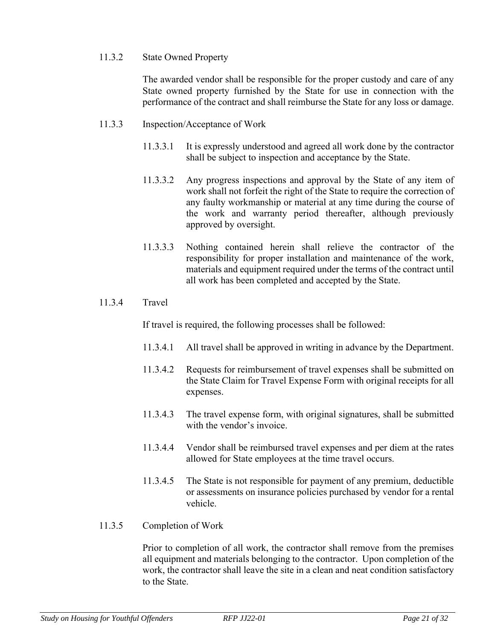#### 11.3.2 State Owned Property

The awarded vendor shall be responsible for the proper custody and care of any State owned property furnished by the State for use in connection with the performance of the contract and shall reimburse the State for any loss or damage.

#### 11.3.3 Inspection/Acceptance of Work

- 11.3.3.1 It is expressly understood and agreed all work done by the contractor shall be subject to inspection and acceptance by the State.
- 11.3.3.2 Any progress inspections and approval by the State of any item of work shall not forfeit the right of the State to require the correction of any faulty workmanship or material at any time during the course of the work and warranty period thereafter, although previously approved by oversight.
- 11.3.3.3 Nothing contained herein shall relieve the contractor of the responsibility for proper installation and maintenance of the work, materials and equipment required under the terms of the contract until all work has been completed and accepted by the State.

#### 11.3.4 Travel

If travel is required, the following processes shall be followed:

- 11.3.4.1 All travel shall be approved in writing in advance by the Department.
- 11.3.4.2 Requests for reimbursement of travel expenses shall be submitted on the State Claim for Travel Expense Form with original receipts for all expenses.
- 11.3.4.3 The travel expense form, with original signatures, shall be submitted with the vendor's invoice.
- 11.3.4.4 Vendor shall be reimbursed travel expenses and per diem at the rates allowed for State employees at the time travel occurs.
- 11.3.4.5 The State is not responsible for payment of any premium, deductible or assessments on insurance policies purchased by vendor for a rental vehicle.
- 11.3.5 Completion of Work

Prior to completion of all work, the contractor shall remove from the premises all equipment and materials belonging to the contractor. Upon completion of the work, the contractor shall leave the site in a clean and neat condition satisfactory to the State.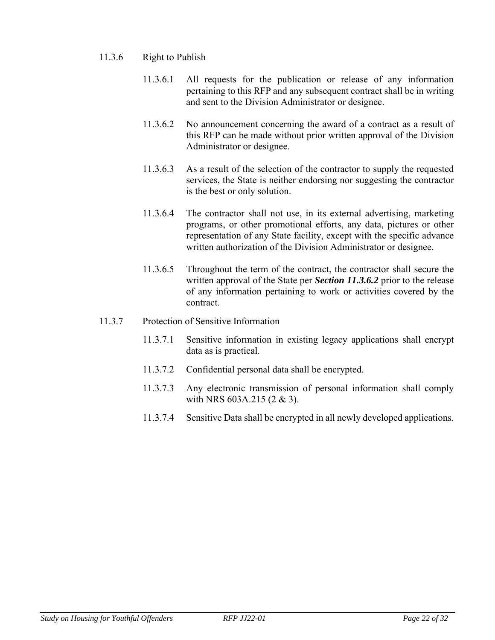#### 11.3.6 Right to Publish

- 11.3.6.1 All requests for the publication or release of any information pertaining to this RFP and any subsequent contract shall be in writing and sent to the Division Administrator or designee.
- 11.3.6.2 No announcement concerning the award of a contract as a result of this RFP can be made without prior written approval of the Division Administrator or designee.
- 11.3.6.3 As a result of the selection of the contractor to supply the requested services, the State is neither endorsing nor suggesting the contractor is the best or only solution.
- 11.3.6.4 The contractor shall not use, in its external advertising, marketing programs, or other promotional efforts, any data, pictures or other representation of any State facility, except with the specific advance written authorization of the Division Administrator or designee.
- 11.3.6.5 Throughout the term of the contract, the contractor shall secure the written approval of the State per *Section 11.3.6.2* prior to the release of any information pertaining to work or activities covered by the contract.
- 11.3.7 Protection of Sensitive Information
	- 11.3.7.1 Sensitive information in existing legacy applications shall encrypt data as is practical.
	- 11.3.7.2 Confidential personal data shall be encrypted.
	- 11.3.7.3 Any electronic transmission of personal information shall comply with NRS 603A.215 (2 & 3).
	- 11.3.7.4 Sensitive Data shall be encrypted in all newly developed applications.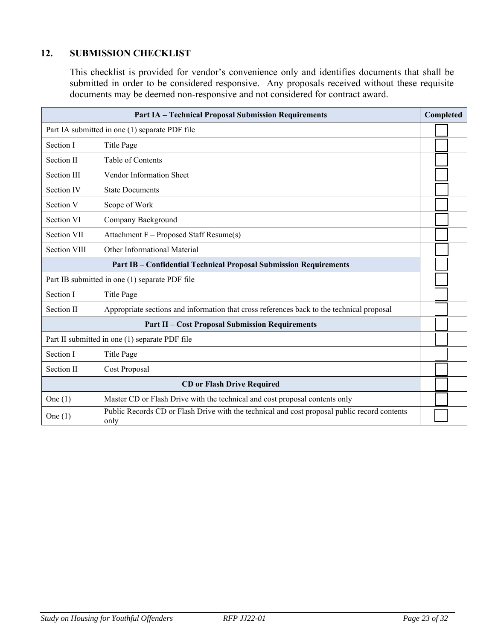### <span id="page-22-0"></span>**12. SUBMISSION CHECKLIST**

This checklist is provided for vendor's convenience only and identifies documents that shall be submitted in order to be considered responsive. Any proposals received without these requisite documents may be deemed non-responsive and not considered for contract award.

| <b>Part IA - Technical Proposal Submission Requirements</b>              |                                                                                                      |  |
|--------------------------------------------------------------------------|------------------------------------------------------------------------------------------------------|--|
|                                                                          | Part IA submitted in one (1) separate PDF file                                                       |  |
| Section I                                                                | Title Page                                                                                           |  |
| Section II                                                               | Table of Contents                                                                                    |  |
| <b>Section III</b>                                                       | Vendor Information Sheet                                                                             |  |
| Section IV                                                               | <b>State Documents</b>                                                                               |  |
| Section V                                                                | Scope of Work                                                                                        |  |
| Section VI                                                               | Company Background                                                                                   |  |
| <b>Section VII</b>                                                       | Attachment F - Proposed Staff Resume(s)                                                              |  |
| <b>Section VIII</b>                                                      | Other Informational Material                                                                         |  |
| <b>Part IB – Confidential Technical Proposal Submission Requirements</b> |                                                                                                      |  |
| Part IB submitted in one (1) separate PDF file                           |                                                                                                      |  |
| Section I                                                                | Title Page                                                                                           |  |
| Section II                                                               | Appropriate sections and information that cross references back to the technical proposal            |  |
| <b>Part II - Cost Proposal Submission Requirements</b>                   |                                                                                                      |  |
| Part II submitted in one (1) separate PDF file                           |                                                                                                      |  |
| Section I                                                                | Title Page                                                                                           |  |
| Section II                                                               | Cost Proposal                                                                                        |  |
| <b>CD</b> or Flash Drive Required                                        |                                                                                                      |  |
| One $(1)$                                                                | Master CD or Flash Drive with the technical and cost proposal contents only                          |  |
| One $(1)$                                                                | Public Records CD or Flash Drive with the technical and cost proposal public record contents<br>only |  |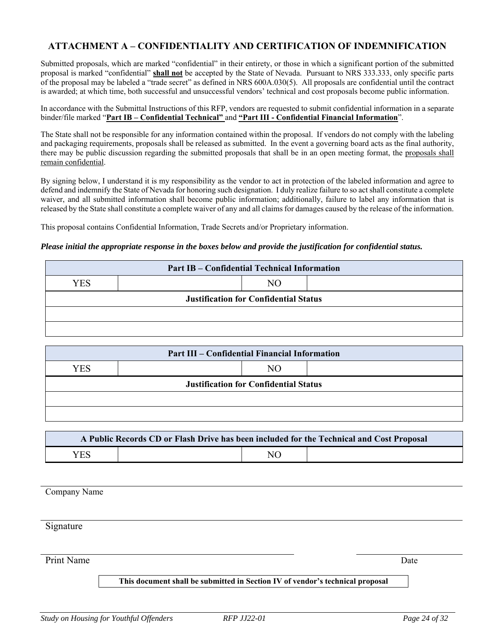#### <span id="page-23-0"></span>**ATTACHMENT A – CONFIDENTIALITY AND CERTIFICATION OF INDEMNIFICATION**

Submitted proposals, which are marked "confidential" in their entirety, or those in which a significant portion of the submitted proposal is marked "confidential" **shall not** be accepted by the State of Nevada. Pursuant to NRS 333.333, only specific parts of the proposal may be labeled a "trade secret" as defined in NRS 600A.030(5). All proposals are confidential until the contract is awarded; at which time, both successful and unsuccessful vendors' technical and cost proposals become public information.

In accordance with the Submittal Instructions of this RFP, vendors are requested to submit confidential information in a separate binder/file marked "**Part IB – Confidential Technical"** and **"Part III - Confidential Financial Information**".

The State shall not be responsible for any information contained within the proposal. If vendors do not comply with the labeling and packaging requirements, proposals shall be released as submitted. In the event a governing board acts as the final authority, there may be public discussion regarding the submitted proposals that shall be in an open meeting format, the proposals shall remain confidential.

By signing below, I understand it is my responsibility as the vendor to act in protection of the labeled information and agree to defend and indemnify the State of Nevada for honoring such designation. I duly realize failure to so act shall constitute a complete waiver, and all submitted information shall become public information; additionally, failure to label any information that is released by the State shall constitute a complete waiver of any and all claims for damages caused by the release of the information.

This proposal contains Confidential Information, Trade Secrets and/or Proprietary information.

#### *Please initial the appropriate response in the boxes below and provide the justification for confidential status.*

| <b>Part IB – Confidential Technical Information</b> |  |    |  |
|-----------------------------------------------------|--|----|--|
| YES                                                 |  | NΟ |  |
| <b>Justification for Confidential Status</b>        |  |    |  |
|                                                     |  |    |  |
|                                                     |  |    |  |

| <b>Part III – Confidential Financial Information</b> |  |    |  |
|------------------------------------------------------|--|----|--|
| <b>YES</b>                                           |  | NО |  |
| <b>Justification for Confidential Status</b>         |  |    |  |
|                                                      |  |    |  |
|                                                      |  |    |  |

| A Public Records CD or Flash Drive has been included for the Technical and Cost Proposal |  |                 |  |  |  |
|------------------------------------------------------------------------------------------|--|-----------------|--|--|--|
| <b>YES</b>                                                                               |  | NO <sub>1</sub> |  |  |  |

Company Name

Signature

Print Name Date

#### **This document shall be submitted in Section IV of vendor's technical proposal**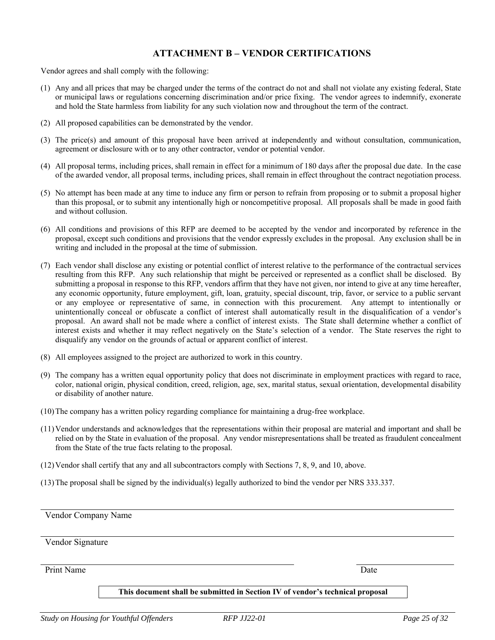#### **ATTACHMENT B – VENDOR CERTIFICATIONS**

<span id="page-24-0"></span>Vendor agrees and shall comply with the following:

- (1) Any and all prices that may be charged under the terms of the contract do not and shall not violate any existing federal, State or municipal laws or regulations concerning discrimination and/or price fixing. The vendor agrees to indemnify, exonerate and hold the State harmless from liability for any such violation now and throughout the term of the contract.
- (2) All proposed capabilities can be demonstrated by the vendor.
- (3) The price(s) and amount of this proposal have been arrived at independently and without consultation, communication, agreement or disclosure with or to any other contractor, vendor or potential vendor.
- (4) All proposal terms, including prices, shall remain in effect for a minimum of 180 days after the proposal due date. In the case of the awarded vendor, all proposal terms, including prices, shall remain in effect throughout the contract negotiation process.
- (5) No attempt has been made at any time to induce any firm or person to refrain from proposing or to submit a proposal higher than this proposal, or to submit any intentionally high or noncompetitive proposal. All proposals shall be made in good faith and without collusion.
- (6) All conditions and provisions of this RFP are deemed to be accepted by the vendor and incorporated by reference in the proposal, except such conditions and provisions that the vendor expressly excludes in the proposal. Any exclusion shall be in writing and included in the proposal at the time of submission.
- (7) Each vendor shall disclose any existing or potential conflict of interest relative to the performance of the contractual services resulting from this RFP. Any such relationship that might be perceived or represented as a conflict shall be disclosed. By submitting a proposal in response to this RFP, vendors affirm that they have not given, nor intend to give at any time hereafter, any economic opportunity, future employment, gift, loan, gratuity, special discount, trip, favor, or service to a public servant or any employee or representative of same, in connection with this procurement. Any attempt to intentionally or unintentionally conceal or obfuscate a conflict of interest shall automatically result in the disqualification of a vendor's proposal. An award shall not be made where a conflict of interest exists. The State shall determine whether a conflict of interest exists and whether it may reflect negatively on the State's selection of a vendor. The State reserves the right to disqualify any vendor on the grounds of actual or apparent conflict of interest.
- (8) All employees assigned to the project are authorized to work in this country.
- (9) The company has a written equal opportunity policy that does not discriminate in employment practices with regard to race, color, national origin, physical condition, creed, religion, age, sex, marital status, sexual orientation, developmental disability or disability of another nature.
- (10)The company has a written policy regarding compliance for maintaining a drug-free workplace.
- (11)Vendor understands and acknowledges that the representations within their proposal are material and important and shall be relied on by the State in evaluation of the proposal. Any vendor misrepresentations shall be treated as fraudulent concealment from the State of the true facts relating to the proposal.
- (12)Vendor shall certify that any and all subcontractors comply with Sections 7, 8, 9, and 10, above.
- (13)The proposal shall be signed by the individual(s) legally authorized to bind the vendor per NRS 333.337.

Vendor Company Name

Vendor Signature

Print Name Date

**This document shall be submitted in Section IV of vendor's technical proposal**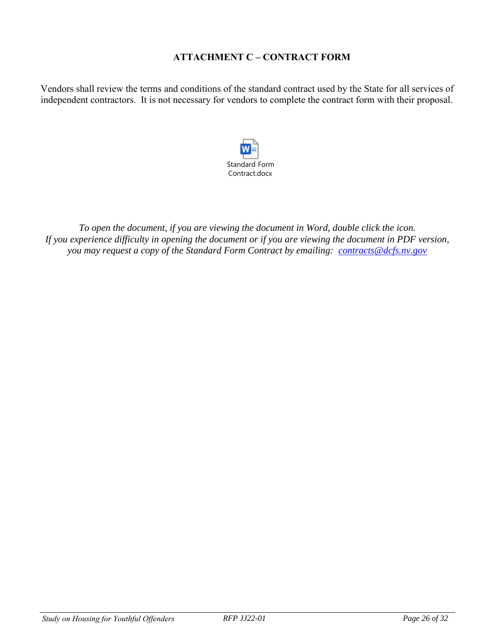### **ATTACHMENT C – CONTRACT FORM**

<span id="page-25-0"></span>Vendors shall review the terms and conditions of the standard contract used by the State for all services of independent contractors. It is not necessary for vendors to complete the contract form with their proposal.



*To open the document, if you are viewing the document in Word, double click the icon. If you experience difficulty in opening the document or if you are viewing the document in PDF version, you may request a copy of the Standard Form Contract by emailing: [contracts@dcfs.nv.gov](mailto:contracts@dcfs.nv.gov)*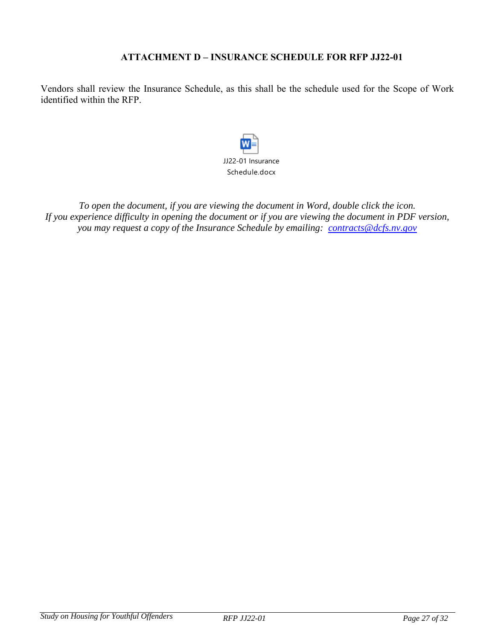#### **ATTACHMENT D – INSURANCE SCHEDULE FOR RFP JJ22-01**

<span id="page-26-0"></span>Vendors shall review the Insurance Schedule, as this shall be the schedule used for the Scope of Work identified within the RFP.



*To open the document, if you are viewing the document in Word, double click the icon. If you experience difficulty in opening the document or if you are viewing the document in PDF version, you may request a copy of the Insurance Schedule by emailing: [contracts@dcfs.nv.gov](mailto:contracts@dcfs.nv.gov)*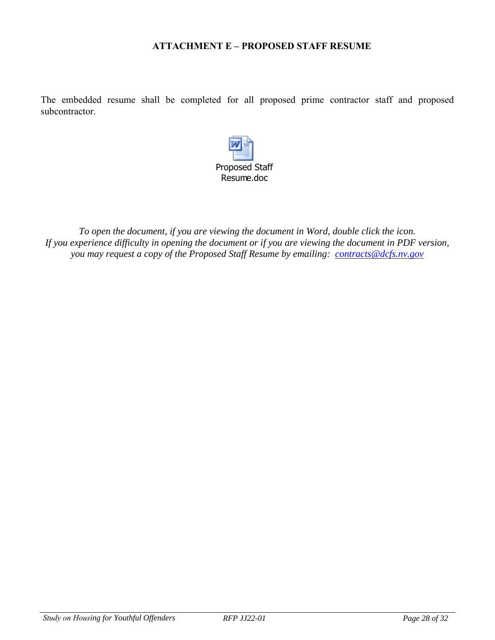#### **ATTACHMENT E – PROPOSED STAFF RESUME**

<span id="page-27-0"></span>The embedded resume shall be completed for all proposed prime contractor staff and proposed subcontractor.



*To open the document, if you are viewing the document in Word, double click the icon. If you experience difficulty in opening the document or if you are viewing the document in PDF version, you may request a copy of the Proposed Staff Resume by emailing: [contracts@dcfs.nv.gov](mailto:contracts@dcfs.nv.gov)*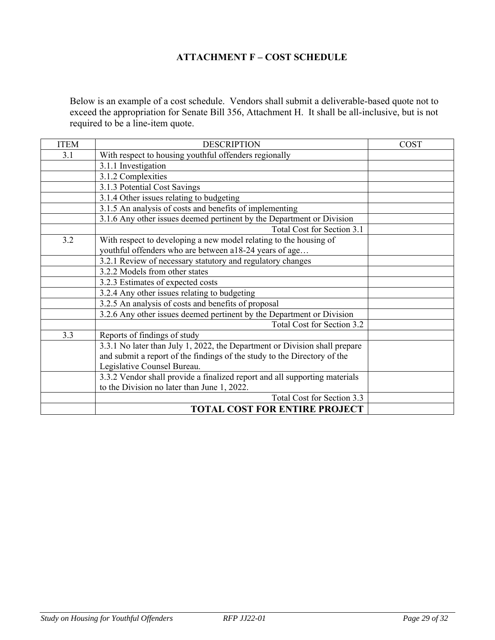## **ATTACHMENT F – COST SCHEDULE**

<span id="page-28-0"></span>Below is an example of a cost schedule. Vendors shall submit a deliverable-based quote not to exceed the appropriation for Senate Bill 356, Attachment H. It shall be all-inclusive, but is not required to be a line-item quote.

| <b>ITEM</b> | <b>DESCRIPTION</b>                                                         | COST |
|-------------|----------------------------------------------------------------------------|------|
| 3.1         | With respect to housing youthful offenders regionally                      |      |
|             | 3.1.1 Investigation                                                        |      |
|             | 3.1.2 Complexities                                                         |      |
|             | 3.1.3 Potential Cost Savings                                               |      |
|             | 3.1.4 Other issues relating to budgeting                                   |      |
|             | 3.1.5 An analysis of costs and benefits of implementing                    |      |
|             | 3.1.6 Any other issues deemed pertinent by the Department or Division      |      |
|             | Total Cost for Section 3.1                                                 |      |
| 3.2         | With respect to developing a new model relating to the housing of          |      |
|             | youthful offenders who are between a18-24 years of age                     |      |
|             | 3.2.1 Review of necessary statutory and regulatory changes                 |      |
|             | 3.2.2 Models from other states                                             |      |
|             | 3.2.3 Estimates of expected costs                                          |      |
|             | 3.2.4 Any other issues relating to budgeting                               |      |
|             | 3.2.5 An analysis of costs and benefits of proposal                        |      |
|             | 3.2.6 Any other issues deemed pertinent by the Department or Division      |      |
|             | Total Cost for Section 3.2                                                 |      |
| 3.3         | Reports of findings of study                                               |      |
|             | 3.3.1 No later than July 1, 2022, the Department or Division shall prepare |      |
|             | and submit a report of the findings of the study to the Directory of the   |      |
|             | Legislative Counsel Bureau.                                                |      |
|             | 3.3.2 Vendor shall provide a finalized report and all supporting materials |      |
|             | to the Division no later than June 1, 2022.                                |      |
|             | Total Cost for Section 3.3                                                 |      |
|             | <b>TOTAL COST FOR ENTIRE PROJECT</b>                                       |      |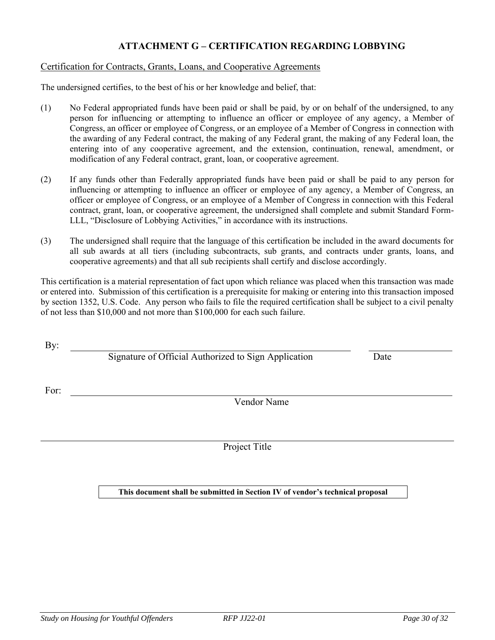#### **ATTACHMENT G – CERTIFICATION REGARDING LOBBYING**

#### <span id="page-29-0"></span>Certification for Contracts, Grants, Loans, and Cooperative Agreements

The undersigned certifies, to the best of his or her knowledge and belief, that:

- (1) No Federal appropriated funds have been paid or shall be paid, by or on behalf of the undersigned, to any person for influencing or attempting to influence an officer or employee of any agency, a Member of Congress, an officer or employee of Congress, or an employee of a Member of Congress in connection with the awarding of any Federal contract, the making of any Federal grant, the making of any Federal loan, the entering into of any cooperative agreement, and the extension, continuation, renewal, amendment, or modification of any Federal contract, grant, loan, or cooperative agreement.
- (2) If any funds other than Federally appropriated funds have been paid or shall be paid to any person for influencing or attempting to influence an officer or employee of any agency, a Member of Congress, an officer or employee of Congress, or an employee of a Member of Congress in connection with this Federal contract, grant, loan, or cooperative agreement, the undersigned shall complete and submit Standard Form-LLL, "Disclosure of Lobbying Activities," in accordance with its instructions.
- (3) The undersigned shall require that the language of this certification be included in the award documents for all sub awards at all tiers (including subcontracts, sub grants, and contracts under grants, loans, and cooperative agreements) and that all sub recipients shall certify and disclose accordingly.

This certification is a material representation of fact upon which reliance was placed when this transaction was made or entered into. Submission of this certification is a prerequisite for making or entering into this transaction imposed by section 1352, U.S. Code. Any person who fails to file the required certification shall be subject to a civil penalty of not less than \$10,000 and not more than \$100,000 for each such failure.

By:

Signature of Official Authorized to Sign Application Date

For:

Vendor Name

Project Title

**This document shall be submitted in Section IV of vendor's technical proposal**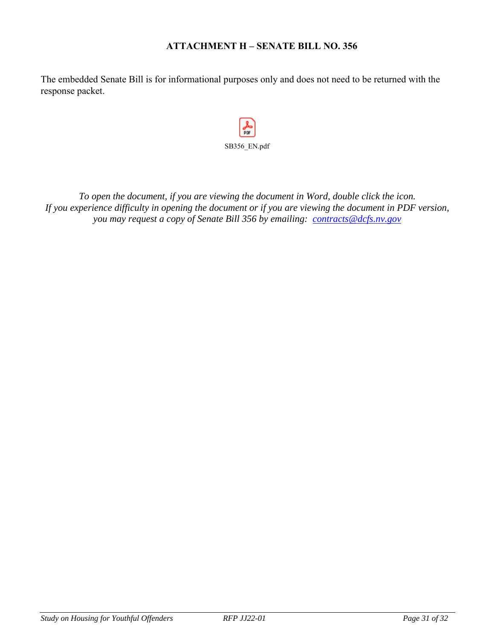#### **ATTACHMENT H – SENATE BILL NO. 356**

<span id="page-30-0"></span>The embedded Senate Bill is for informational purposes only and does not need to be returned with the response packet.

 $p$ <sub>D</sub> SB356\_EN.pdf

*To open the document, if you are viewing the document in Word, double click the icon. If you experience difficulty in opening the document or if you are viewing the document in PDF version, you may request a copy of Senate Bill 356 by emailing: [contracts@dcfs.nv.gov](mailto:contracts@dcfs.nv.gov)*